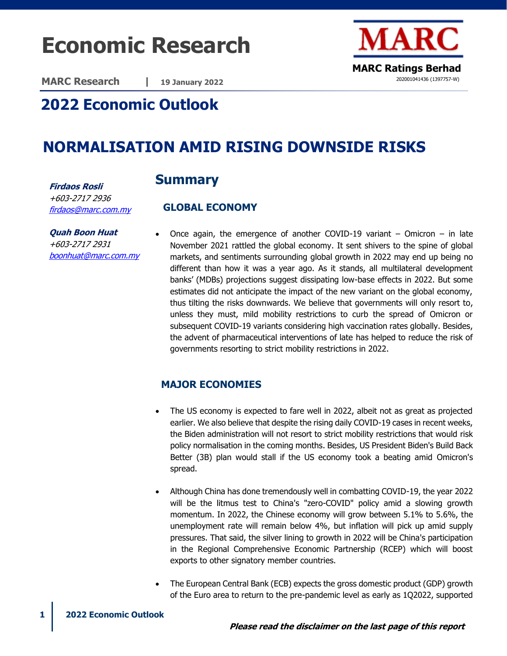# **Economic Research**

**MARC Research | 19 January 2022**



# **2022 Economic Outlook**

# **NORMALISATION AMID RISING DOWNSIDE RISKS**

## **Summary**

 **GLOBAL ECONOMY** 

**Firdaos Rosli** +603-2717 2936 [firdaos@marc.com.my](mailto:firdaos@marc.com.my)

[boonhuat@marc.com.my](mailto:boonhuat@marc.com.my)

**Quah Boon Huat** +603-2717 2931

Once again, the emergence of another COVID-19 variant  $-$  Omicron  $-$  in late November 2021 rattled the global economy. It sent shivers to the spine of global markets, and sentiments surrounding global growth in 2022 may end up being no different than how it was a year ago. As it stands, all multilateral development banks' (MDBs) projections suggest dissipating low-base effects in 2022. But some estimates did not anticipate the impact of the new variant on the global economy, thus tilting the risks downwards. We believe that governments will only resort to, unless they must, mild mobility restrictions to curb the spread of Omicron or subsequent COVID-19 variants considering high vaccination rates globally. Besides, the advent of pharmaceutical interventions of late has helped to reduce the risk of governments resorting to strict mobility restrictions in 2022.

## **MAJOR ECONOMIES**

- The US economy is expected to fare well in 2022, albeit not as great as projected earlier. We also believe that despite the rising daily COVID-19 cases in recent weeks, the Biden administration will not resort to strict mobility restrictions that would risk policy normalisation in the coming months. Besides, US President Biden's Build Back Better (3B) plan would stall if the US economy took a beating amid Omicron's spread.
- Although China has done tremendously well in combatting COVID-19, the year 2022 will be the litmus test to China's "zero-COVID" policy amid a slowing growth momentum. In 2022, the Chinese economy will grow between 5.1% to 5.6%, the unemployment rate will remain below 4%, but inflation will pick up amid supply pressures. That said, the silver lining to growth in 2022 will be China's participation in the Regional Comprehensive Economic Partnership (RCEP) which will boost exports to other signatory member countries.
- The European Central Bank (ECB) expects the gross domestic product (GDP) growth of the Euro area to return to the pre-pandemic level as early as 1Q2022, supported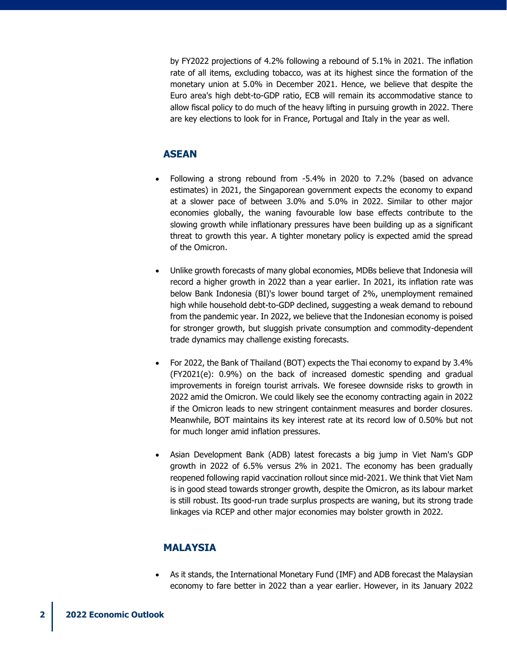by FY2022 projections of 4.2% following a rebound of 5.1% in 2021. The inflation rate of all items, excluding tobacco, was at its highest since the formation of the monetary union at 5.0% in December 2021. Hence, we believe that despite the Euro area's high debt-to-GDP ratio, ECB will remain its accommodative stance to allow fiscal policy to do much of the heavy lifting in pursuing growth in 2022. There are key elections to look for in France, Portugal and Italy in the year as well.

#### **ASEAN**

- Following a strong rebound from -5.4% in 2020 to 7.2% (based on advance estimates) in 2021, the Singaporean government expects the economy to expand at a slower pace of between 3.0% and 5.0% in 2022. Similar to other major economies globally, the waning favourable low base effects contribute to the slowing growth while inflationary pressures have been building up as a significant threat to growth this year. A tighter monetary policy is expected amid the spread of the Omicron.
- Unlike growth forecasts of many global economies, MDBs believe that Indonesia will record a higher growth in 2022 than a year earlier. In 2021, its inflation rate was below Bank Indonesia (BI)'s lower bound target of 2%, unemployment remained high while household debt-to-GDP declined, suggesting a weak demand to rebound from the pandemic year. In 2022, we believe that the Indonesian economy is poised for stronger growth, but sluggish private consumption and commodity-dependent trade dynamics may challenge existing forecasts.
- For 2022, the Bank of Thailand (BOT) expects the Thai economy to expand by 3.4% (FY2021(e): 0.9%) on the back of increased domestic spending and gradual improvements in foreign tourist arrivals. We foresee downside risks to growth in 2022 amid the Omicron. We could likely see the economy contracting again in 2022 if the Omicron leads to new stringent containment measures and border closures. Meanwhile, BOT maintains its key interest rate at its record low of 0.50% but not for much longer amid inflation pressures.
- Asian Development Bank (ADB) latest forecasts a big jump in Viet Nam's GDP growth in 2022 of 6.5% versus 2% in 2021. The economy has been gradually reopened following rapid vaccination rollout since mid-2021. We think that Viet Nam is in good stead towards stronger growth, despite the Omicron, as its labour market is still robust. Its good-run trade surplus prospects are waning, but its strong trade linkages via RCEP and other major economies may bolster growth in 2022.

#### **MALAYSIA**

• As it stands, the International Monetary Fund (IMF) and ADB forecast the Malaysian economy to fare better in 2022 than a year earlier. However, in its January 2022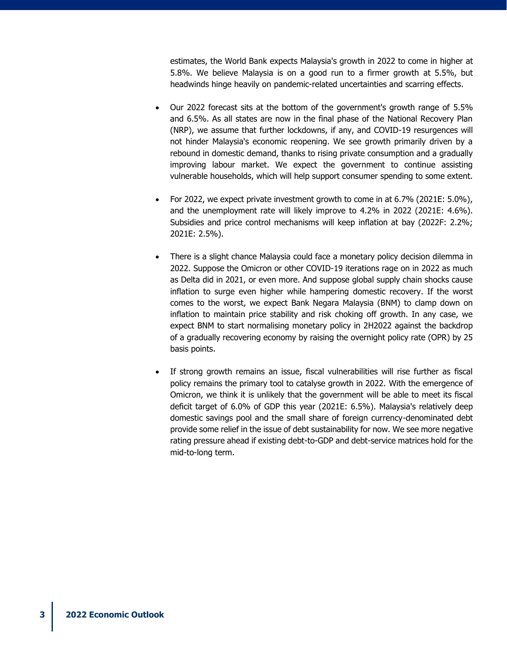estimates, the World Bank expects Malaysia's growth in 2022 to come in higher at 5.8%. We believe Malaysia is on a good run to a firmer growth at 5.5%, but headwinds hinge heavily on pandemic-related uncertainties and scarring effects.

- Our 2022 forecast sits at the bottom of the government's growth range of 5.5% and 6.5%. As all states are now in the final phase of the National Recovery Plan (NRP), we assume that further lockdowns, if any, and COVID-19 resurgences will not hinder Malaysia's economic reopening. We see growth primarily driven by a rebound in domestic demand, thanks to rising private consumption and a gradually improving labour market. We expect the government to continue assisting vulnerable households, which will help support consumer spending to some extent.
- For 2022, we expect private investment growth to come in at 6.7% (2021E: 5.0%), and the unemployment rate will likely improve to 4.2% in 2022 (2021E: 4.6%). Subsidies and price control mechanisms will keep inflation at bay (2022F: 2.2%; 2021E: 2.5%).
- There is a slight chance Malaysia could face a monetary policy decision dilemma in 2022. Suppose the Omicron or other COVID-19 iterations rage on in 2022 as much as Delta did in 2021, or even more. And suppose global supply chain shocks cause inflation to surge even higher while hampering domestic recovery. If the worst comes to the worst, we expect Bank Negara Malaysia (BNM) to clamp down on inflation to maintain price stability and risk choking off growth. In any case, we expect BNM to start normalising monetary policy in 2H2022 against the backdrop of a gradually recovering economy by raising the overnight policy rate (OPR) by 25 basis points.
- If strong growth remains an issue, fiscal vulnerabilities will rise further as fiscal policy remains the primary tool to catalyse growth in 2022. With the emergence of Omicron, we think it is unlikely that the government will be able to meet its fiscal deficit target of 6.0% of GDP this year (2021E: 6.5%). Malaysia's relatively deep domestic savings pool and the small share of foreign currency-denominated debt provide some relief in the issue of debt sustainability for now. We see more negative rating pressure ahead if existing debt-to-GDP and debt-service matrices hold for the mid-to-long term.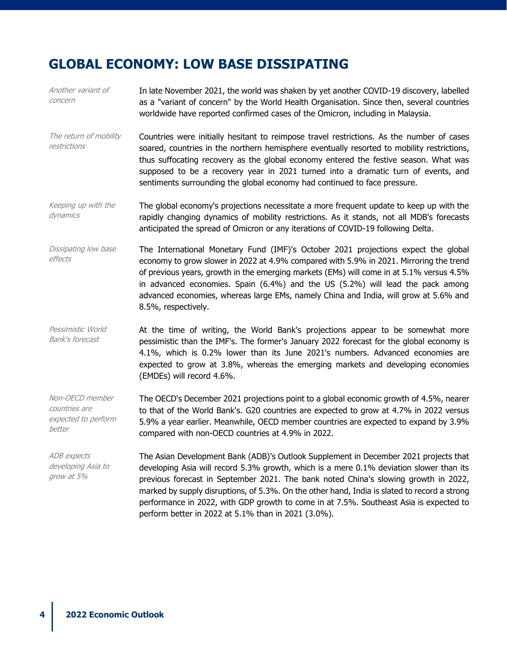# **GLOBAL ECONOMY: LOW BASE DISSIPATING**

| Another variant of<br>concern                                     | In late November 2021, the world was shaken by yet another COVID-19 discovery, labelled<br>as a "variant of concern" by the World Health Organisation. Since then, several countries<br>worldwide have reported confirmed cases of the Omicron, including in Malaysia.                                                                                                                                                                                                                                                  |
|-------------------------------------------------------------------|-------------------------------------------------------------------------------------------------------------------------------------------------------------------------------------------------------------------------------------------------------------------------------------------------------------------------------------------------------------------------------------------------------------------------------------------------------------------------------------------------------------------------|
| The return of mobility<br>restrictions                            | Countries were initially hesitant to reimpose travel restrictions. As the number of cases<br>soared, countries in the northern hemisphere eventually resorted to mobility restrictions,<br>thus suffocating recovery as the global economy entered the festive season. What was<br>supposed to be a recovery year in 2021 turned into a dramatic turn of events, and<br>sentiments surrounding the global economy had continued to face pressure.                                                                       |
| Keeping up with the<br>dynamics                                   | The global economy's projections necessitate a more frequent update to keep up with the<br>rapidly changing dynamics of mobility restrictions. As it stands, not all MDB's forecasts<br>anticipated the spread of Omicron or any iterations of COVID-19 following Delta.                                                                                                                                                                                                                                                |
| Dissipating low base<br>effects                                   | The International Monetary Fund (IMF)'s October 2021 projections expect the global<br>economy to grow slower in 2022 at 4.9% compared with 5.9% in 2021. Mirroring the trend<br>of previous years, growth in the emerging markets (EMs) will come in at 5.1% versus 4.5%<br>in advanced economies. Spain (6.4%) and the US (5.2%) will lead the pack among<br>advanced economies, whereas large EMs, namely China and India, will grow at 5.6% and<br>8.5%, respectively.                                               |
| Pessimistic World<br><b>Bank's forecast</b>                       | At the time of writing, the World Bank's projections appear to be somewhat more<br>pessimistic than the IMF's. The former's January 2022 forecast for the global economy is<br>4.1%, which is 0.2% lower than its June 2021's numbers. Advanced economies are<br>expected to grow at 3.8%, whereas the emerging markets and developing economies<br>(EMDEs) will record 4.6%.                                                                                                                                           |
| Non-OECD member<br>countries are<br>expected to perform<br>better | The OECD's December 2021 projections point to a global economic growth of 4.5%, nearer<br>to that of the World Bank's. G20 countries are expected to grow at 4.7% in 2022 versus<br>5.9% a year earlier. Meanwhile, OECD member countries are expected to expand by 3.9%<br>compared with non-OECD countries at 4.9% in 2022.                                                                                                                                                                                           |
| <b>ADB</b> expects<br>developing Asia to<br>grow at 5%            | The Asian Development Bank (ADB)'s Outlook Supplement in December 2021 projects that<br>developing Asia will record 5.3% growth, which is a mere 0.1% deviation slower than its<br>previous forecast in September 2021. The bank noted China's slowing growth in 2022,<br>marked by supply disruptions, of 5.3%. On the other hand, India is slated to record a strong<br>performance in 2022, with GDP growth to come in at 7.5%. Southeast Asia is expected to<br>perform better in 2022 at 5.1% than in 2021 (3.0%). |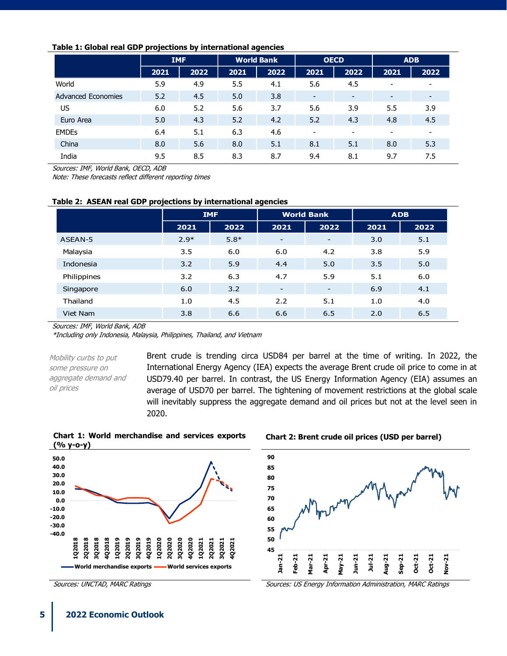#### **Table 1: Global real GDP projections by international agencies**

|                           | <b>IMF</b> |      | <b>World Bank</b> |      | <b>OECD</b>              |                          | <b>ADB</b> |      |
|---------------------------|------------|------|-------------------|------|--------------------------|--------------------------|------------|------|
|                           | 2021       | 2022 | 2021              | 2022 | 2021                     | 2022                     | 2021       | 2022 |
| World                     | 5.9        | 4.9  | 5.5               | 4.1  | 5.6                      | 4.5                      |            | ۰    |
| <b>Advanced Economies</b> | 5.2        | 4.5  | 5.0               | 3.8  | $\overline{\phantom{a}}$ | $\overline{\phantom{0}}$ |            | -    |
| US                        | 6.0        | 5.2  | 5.6               | 3.7  | 5.6                      | 3.9                      | 5.5        | 3.9  |
| Euro Area                 | 5.0        | 4.3  | 5.2               | 4.2  | 5.2                      | 4.3                      | 4.8        | 4.5  |
| <b>EMDES</b>              | 6.4        | 5.1  | 6.3               | 4.6  | $\overline{\phantom{a}}$ | $\overline{\phantom{0}}$ |            | ۰    |
| China                     | 8.0        | 5.6  | 8.0               | 5.1  | 8.1                      | 5.1                      | 8.0        | 5.3  |
| India                     | 9.5        | 8.5  | 8.3               | 8.7  | 9.4                      | 8.1                      | 9.7        | 7.5  |

Sources: IMF, World Bank, OECD, ADB

Note: These forecasts reflect different reporting times

| Table 2: ASEAN real GDP projections by international agencies |  |  |  |
|---------------------------------------------------------------|--|--|--|
|---------------------------------------------------------------|--|--|--|

|             | <b>IMF</b> |        | <b>World Bank</b>        |      | <b>ADB</b> |      |
|-------------|------------|--------|--------------------------|------|------------|------|
|             | 2021       | 2022   | 2021                     | 2022 | 2021       | 2022 |
| ASEAN-5     | $2.9*$     | $5.8*$ | -                        | -    | 3.0        | 5.1  |
| Malaysia    | 3.5        | 6.0    | 6.0                      | 4.2  | 3.8        | 5.9  |
| Indonesia   | 3.2        | 5.9    | 4.4                      | 5.0  | 3.5        | 5.0  |
| Philippines | 3.2        | 6.3    | 4.7                      | 5.9  | 5.1        | 6.0  |
| Singapore   | 6.0        | 3.2    | $\overline{\phantom{a}}$ |      | 6.9        | 4.1  |
| Thailand    | 1.0        | 4.5    | 2.2                      | 5.1  | 1.0        | 4.0  |
| Viet Nam    | 3.8        | 6.6    | 6.6                      | 6.5  | 2.0        | 6.5  |

Sources: IMF, World Bank, ADB

\*Including only Indonesia, Malaysia, Philippines, Thailand, and Vietnam

Mobility curbs to put some pressure on aggregate demand and oil prices

Brent crude is trending circa USD84 per barrel at the time of writing. In 2022, the International Energy Agency (IEA) expects the average Brent crude oil price to come in at USD79.40 per barrel. In contrast, the US Energy Information Agency (EIA) assumes an average of USD70 per barrel. The tightening of movement restrictions at the global scale will inevitably suppress the aggregate demand and oil prices but not at the level seen in 2020.



**World merchandise exports World services exports**

**Chart 1: World merchandise and services exports** 

**-40.0**

**1Q2018 2Q2018 3Q2018 4Q2018 1Q2019 2Q2019 3Q2019 4Q2019 1Q2020 2Q2020 3Q2020 4Q2020 1Q2021 2Q2021 3Q2021 4Q2021**

**Chart 2: Brent crude oil prices (USD per barrel)**



Sources: UNCTAD, MARC Ratings **Sources: US Energy Information Administration**, MARC Ratings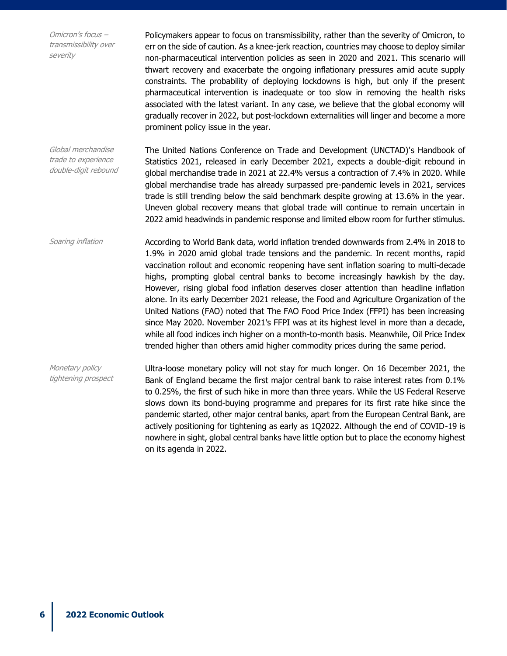Omicron's focus – transmissibility over severity

Policymakers appear to focus on transmissibility, rather than the severity of Omicron, to err on the side of caution. As a knee-jerk reaction, countries may choose to deploy similar non-pharmaceutical intervention policies as seen in 2020 and 2021. This scenario will thwart recovery and exacerbate the ongoing inflationary pressures amid acute supply constraints. The probability of deploying lockdowns is high, but only if the present pharmaceutical intervention is inadequate or too slow in removing the health risks associated with the latest variant. In any case, we believe that the global economy will gradually recover in 2022, but post-lockdown externalities will linger and become a more prominent policy issue in the year.

Global merchandise trade to experience double-digit rebound The United Nations Conference on Trade and Development (UNCTAD)'s Handbook of Statistics 2021, released in early December 2021, expects a double-digit rebound in global merchandise trade in 2021 at 22.4% versus a contraction of 7.4% in 2020. While global merchandise trade has already surpassed pre-pandemic levels in 2021, services trade is still trending below the said benchmark despite growing at 13.6% in the year. Uneven global recovery means that global trade will continue to remain uncertain in 2022 amid headwinds in pandemic response and limited elbow room for further stimulus.

Soaring inflation **According to World Bank data, world inflation trended downwards from 2.4% in 2018 to** 1.9% in 2020 amid global trade tensions and the pandemic. In recent months, rapid vaccination rollout and economic reopening have sent inflation soaring to multi-decade highs, prompting global central banks to become increasingly hawkish by the day. However, rising global food inflation deserves closer attention than headline inflation alone. In its early December 2021 release, the Food and Agriculture Organization of the United Nations (FAO) noted that The FAO Food Price Index (FFPI) has been increasing since May 2020. November 2021's FFPI was at its highest level in more than a decade, while all food indices inch higher on a month-to-month basis. Meanwhile, Oil Price Index trended higher than others amid higher commodity prices during the same period.

Monetary policy tightening prospect Ultra-loose monetary policy will not stay for much longer. On 16 December 2021, the Bank of England became the first major central bank to raise interest rates from 0.1% to 0.25%, the first of such hike in more than three years. While the US Federal Reserve slows down its bond-buying programme and prepares for its first rate hike since the pandemic started, other major central banks, apart from the European Central Bank, are actively positioning for tightening as early as 1Q2022. Although the end of COVID-19 is nowhere in sight, global central banks have little option but to place the economy highest on its agenda in 2022.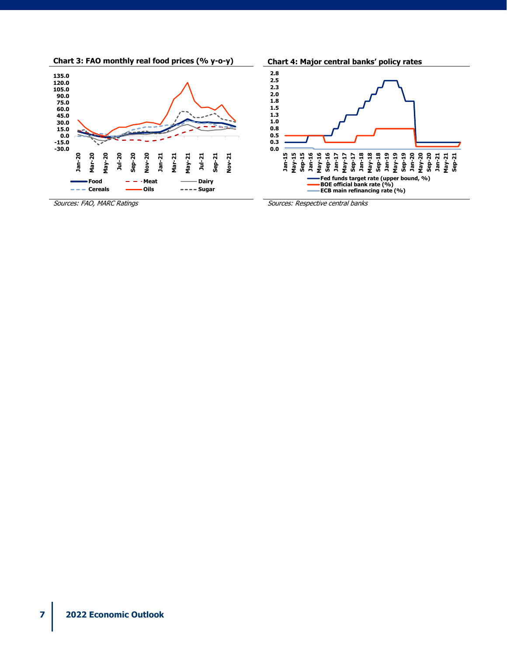





Sources: FAO, MARC Ratings Sources: Respective central banks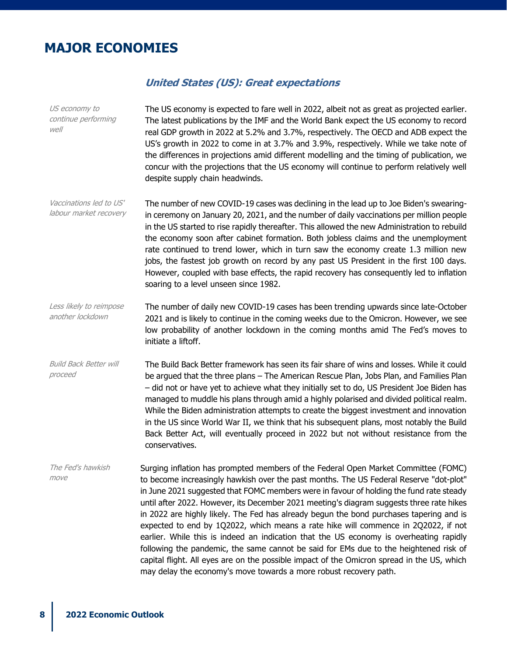## **MAJOR ECONOMIES**

#### **United States (US): Great expectations**

US economy to continue performing well The US economy is expected to fare well in 2022, albeit not as great as projected earlier. The latest publications by the IMF and the World Bank expect the US economy to record real GDP growth in 2022 at 5.2% and 3.7%, respectively. The OECD and ADB expect the US's growth in 2022 to come in at 3.7% and 3.9%, respectively. While we take note of the differences in projections amid different modelling and the timing of publication, we concur with the projections that the US economy will continue to perform relatively well despite supply chain headwinds. Vaccinations led to US' labour market recovery The number of new COVID-19 cases was declining in the lead up to Joe Biden's swearingin ceremony on January 20, 2021, and the number of daily vaccinations per million people in the US started to rise rapidly thereafter. This allowed the new Administration to rebuild the economy soon after cabinet formation. Both jobless claims and the unemployment rate continued to trend lower, which in turn saw the economy create 1.3 million new jobs, the fastest job growth on record by any past US President in the first 100 days. However, coupled with base effects, the rapid recovery has consequently led to inflation soaring to a level unseen since 1982. Less likely to reimpose another lockdown The number of daily new COVID-19 cases has been trending upwards since late-October 2021 and is likely to continue in the coming weeks due to the Omicron. However, we see low probability of another lockdown in the coming months amid The Fed's moves to initiate a liftoff. Build Back Better will proceed The Build Back Better framework has seen its fair share of wins and losses. While it could be argued that the three plans – The American Rescue Plan, Jobs Plan, and Families Plan – did not or have yet to achieve what they initially set to do, US President Joe Biden has managed to muddle his plans through amid a highly polarised and divided political realm. While the Biden administration attempts to create the biggest investment and innovation in the US since World War II, we think that his subsequent plans, most notably the Build Back Better Act, will eventually proceed in 2022 but not without resistance from the conservatives. The Fed's hawkish move Surging inflation has prompted members of the Federal Open Market Committee (FOMC) to become increasingly hawkish over the past months. The US Federal Reserve "dot-plot" in June 2021 suggested that FOMC members were in favour of holding the fund rate steady until after 2022. However, its December 2021 meeting's diagram suggests three rate hikes in 2022 are highly likely. The Fed has already begun the bond purchases tapering and is expected to end by 1Q2022, which means a rate hike will commence in 2Q2022, if not earlier. While this is indeed an indication that the US economy is overheating rapidly following the pandemic, the same cannot be said for EMs due to the heightened risk of capital flight. All eyes are on the possible impact of the Omicron spread in the US, which may delay the economy's move towards a more robust recovery path.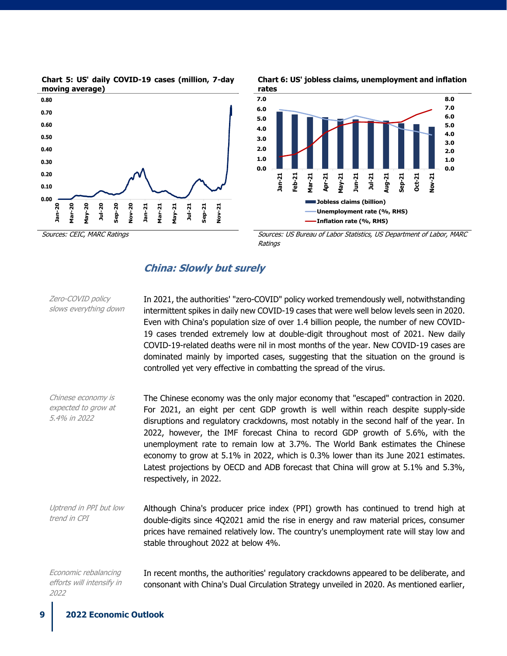







Sources: CEIC, MARC Ratings Sources: US Bureau of Labor Statistics, US Department of Labor, MARC Ratings

## **China: Slowly but surely**

| Zero-COVID policy<br>slows everything down                | In 2021, the authorities' "zero-COVID" policy worked tremendously well, notwithstanding<br>intermittent spikes in daily new COVID-19 cases that were well below levels seen in 2020.<br>Even with China's population size of over 1.4 billion people, the number of new COVID-<br>19 cases trended extremely low at double-digit throughout most of 2021. New daily<br>COVID-19-related deaths were nil in most months of the year. New COVID-19 cases are<br>dominated mainly by imported cases, suggesting that the situation on the ground is<br>controlled yet very effective in combatting the spread of the virus.               |
|-----------------------------------------------------------|----------------------------------------------------------------------------------------------------------------------------------------------------------------------------------------------------------------------------------------------------------------------------------------------------------------------------------------------------------------------------------------------------------------------------------------------------------------------------------------------------------------------------------------------------------------------------------------------------------------------------------------|
| Chinese economy is<br>expected to grow at<br>5.4% in 2022 | The Chinese economy was the only major economy that "escaped" contraction in 2020.<br>For 2021, an eight per cent GDP growth is well within reach despite supply-side<br>disruptions and regulatory crackdowns, most notably in the second half of the year. In<br>2022, however, the IMF forecast China to record GDP growth of 5.6%, with the<br>unemployment rate to remain low at 3.7%. The World Bank estimates the Chinese<br>economy to grow at 5.1% in 2022, which is 0.3% lower than its June 2021 estimates.<br>Latest projections by OECD and ADB forecast that China will grow at 5.1% and 5.3%,<br>respectively, in 2022. |
| Uptrend in PPI but low<br>trend in CPI                    | Although China's producer price index (PPI) growth has continued to trend high at<br>double-digits since 4Q2021 amid the rise in energy and raw material prices, consumer<br>prices have remained relatively low. The country's unemployment rate will stay low and<br>stable throughout 2022 at below 4%.                                                                                                                                                                                                                                                                                                                             |
| Economic rebalancing<br>efforts will intensify in<br>2022 | In recent months, the authorities' regulatory crackdowns appeared to be deliberate, and<br>consonant with China's Dual Circulation Strategy unveiled in 2020. As mentioned earlier,                                                                                                                                                                                                                                                                                                                                                                                                                                                    |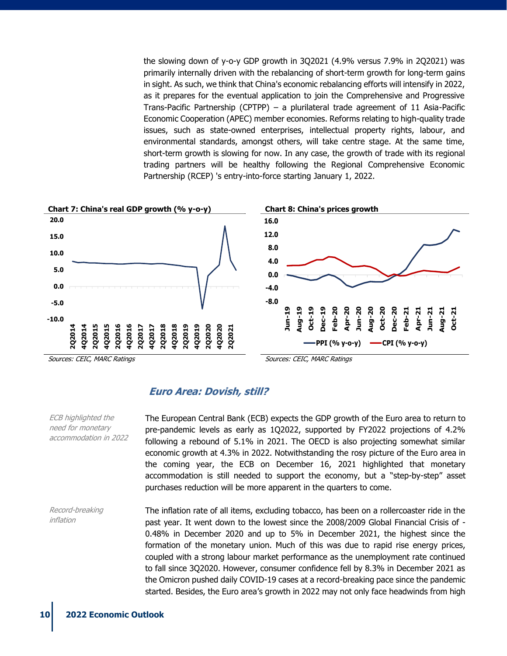the slowing down of y-o-y GDP growth in 3Q2021 (4.9% versus 7.9% in 2Q2021) was primarily internally driven with the rebalancing of short-term growth for long-term gains in sight. As such, we think that China's economic rebalancing efforts will intensify in 2022, as it prepares for the eventual application to join the Comprehensive and Progressive Trans-Pacific Partnership (CPTPP) – a plurilateral trade agreement of 11 Asia-Pacific Economic Cooperation (APEC) member economies. Reforms relating to high-quality trade issues, such as state-owned enterprises, intellectual property rights, labour, and environmental standards, amongst others, will take centre stage. At the same time, short-term growth is slowing for now. In any case, the growth of trade with its regional trading partners will be healthy following the Regional Comprehensive Economic Partnership (RCEP) 's entry-into-force starting January 1, 2022.



**Euro Area: Dovish, still?**

The European Central Bank (ECB) expects the GDP growth of the Euro area to return to pre-pandemic levels as early as 1Q2022, supported by FY2022 projections of 4.2% following a rebound of 5.1% in 2021. The OECD is also projecting somewhat similar economic growth at 4.3% in 2022. Notwithstanding the rosy picture of the Euro area in the coming year, the ECB on December 16, 2021 highlighted that monetary accommodation is still needed to support the economy, but a "step-by-step" asset purchases reduction will be more apparent in the quarters to come.

Record-breaking inflation The inflation rate of all items, excluding tobacco, has been on a rollercoaster ride in the past year. It went down to the lowest since the 2008/2009 Global Financial Crisis of - 0.48% in December 2020 and up to 5% in December 2021, the highest since the formation of the monetary union. Much of this was due to rapid rise energy prices, coupled with a strong labour market performance as the unemployment rate continued to fall since 3Q2020. However, consumer confidence fell by 8.3% in December 2021 as the Omicron pushed daily COVID-19 cases at a record-breaking pace since the pandemic started. Besides, the Euro area's growth in 2022 may not only face headwinds from high

ECB highlighted the need for monetary accommodation in 2022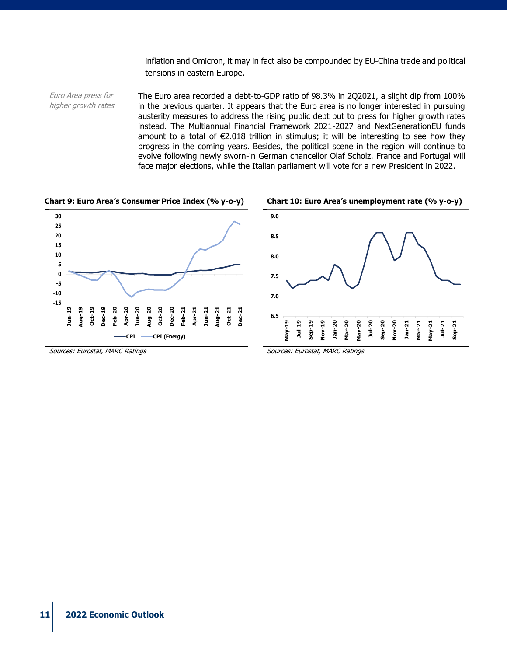inflation and Omicron, it may in fact also be compounded by EU-China trade and political tensions in eastern Europe.

Euro Area press for higher growth rates The Euro area recorded a debt-to-GDP ratio of 98.3% in 2Q2021, a slight dip from 100% in the previous quarter. It appears that the Euro area is no longer interested in pursuing austerity measures to address the rising public debt but to press for higher growth rates instead. The Multiannual Financial Framework 2021-2027 and NextGenerationEU funds amount to a total of  $\epsilon$ 2.018 trillion in stimulus; it will be interesting to see how they progress in the coming years. Besides, the political scene in the region will continue to evolve following newly sworn-in German chancellor Olaf Scholz. France and Portugal will face major elections, while the Italian parliament will vote for a new President in 2022.

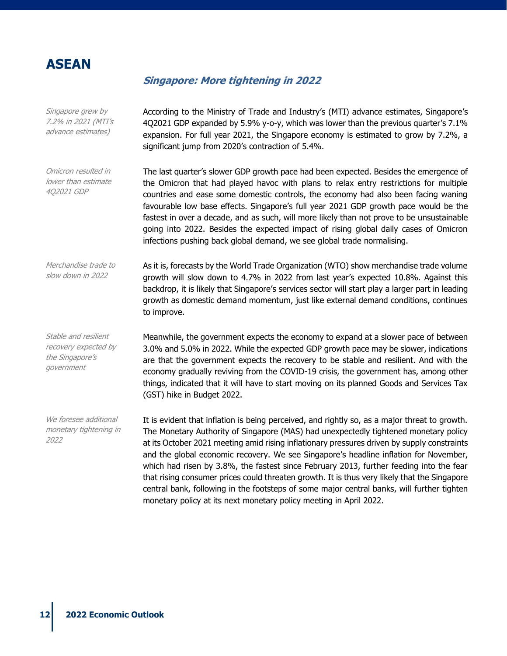

Stable and resilient recovery expected by the Singapore's government

We foresee additional monetary tightening in

2022

#### **Singapore: More tightening in 2022**

Singapore grew by 7.2% in 2021 (MTI's advance estimates) According to the Ministry of Trade and Industry's (MTI) advance estimates, Singapore's 4Q2021 GDP expanded by 5.9% y-o-y, which was lower than the previous quarter's 7.1% expansion. For full year 2021, the Singapore economy is estimated to grow by 7.2%, a significant jump from 2020's contraction of 5.4%.

Omicron resulted in lower than estimate 4Q2021 GDP The last quarter's slower GDP growth pace had been expected. Besides the emergence of the Omicron that had played havoc with plans to relax entry restrictions for multiple countries and ease some domestic controls, the economy had also been facing waning favourable low base effects. Singapore's full year 2021 GDP growth pace would be the fastest in over a decade, and as such, will more likely than not prove to be unsustainable going into 2022. Besides the expected impact of rising global daily cases of Omicron infections pushing back global demand, we see global trade normalising.

Merchandise trade to slow down in 2022 As it is, forecasts by the World Trade Organization (WTO) show merchandise trade volume growth will slow down to 4.7% in 2022 from last year's expected 10.8%. Against this backdrop, it is likely that Singapore's services sector will start play a larger part in leading growth as domestic demand momentum, just like external demand conditions, continues to improve.

> Meanwhile, the government expects the economy to expand at a slower pace of between 3.0% and 5.0% in 2022. While the expected GDP growth pace may be slower, indications are that the government expects the recovery to be stable and resilient. And with the economy gradually reviving from the COVID-19 crisis, the government has, among other things, indicated that it will have to start moving on its planned Goods and Services Tax (GST) hike in Budget 2022.

> It is evident that inflation is being perceived, and rightly so, as a major threat to growth. The Monetary Authority of Singapore (MAS) had unexpectedly tightened monetary policy at its October 2021 meeting amid rising inflationary pressures driven by supply constraints and the global economic recovery. We see Singapore's headline inflation for November, which had risen by 3.8%, the fastest since February 2013, further feeding into the fear that rising consumer prices could threaten growth. It is thus very likely that the Singapore central bank, following in the footsteps of some major central banks, will further tighten monetary policy at its next monetary policy meeting in April 2022.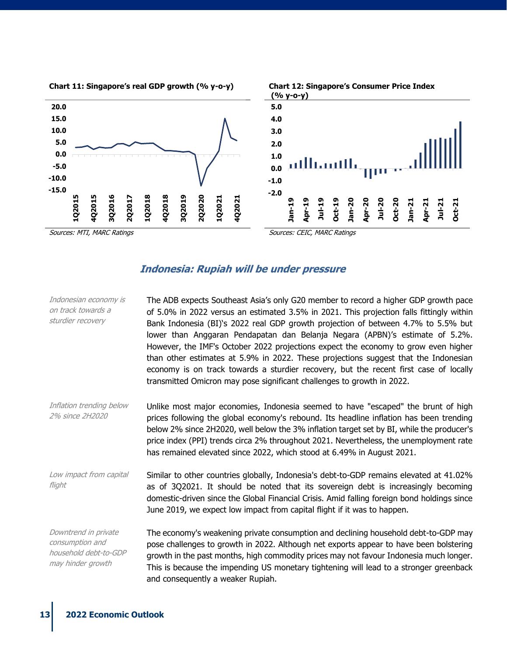

#### **Indonesia: Rupiah will be under pressure**

| Indonesian economy is<br>on track towards a<br>sturdier recovery                      | The ADB expects Southeast Asia's only G20 member to record a higher GDP growth pace<br>of 5.0% in 2022 versus an estimated 3.5% in 2021. This projection falls fittingly within<br>Bank Indonesia (BI)'s 2022 real GDP growth projection of between 4.7% to 5.5% but<br>lower than Anggaran Pendapatan dan Belanja Negara (APBN)'s estimate of 5.2%.<br>However, the IMF's October 2022 projections expect the economy to grow even higher<br>than other estimates at 5.9% in 2022. These projections suggest that the Indonesian<br>economy is on track towards a sturdier recovery, but the recent first case of locally<br>transmitted Omicron may pose significant challenges to growth in 2022. |
|---------------------------------------------------------------------------------------|------------------------------------------------------------------------------------------------------------------------------------------------------------------------------------------------------------------------------------------------------------------------------------------------------------------------------------------------------------------------------------------------------------------------------------------------------------------------------------------------------------------------------------------------------------------------------------------------------------------------------------------------------------------------------------------------------|
| Inflation trending below<br>2% since 2H2020                                           | Unlike most major economies, Indonesia seemed to have "escaped" the brunt of high<br>prices following the global economy's rebound. Its headline inflation has been trending<br>below 2% since 2H2020, well below the 3% inflation target set by BI, while the producer's<br>price index (PPI) trends circa 2% throughout 2021. Nevertheless, the unemployment rate<br>has remained elevated since 2022, which stood at 6.49% in August 2021.                                                                                                                                                                                                                                                        |
| Low impact from capital<br>flight                                                     | Similar to other countries globally, Indonesia's debt-to-GDP remains elevated at 41.02%<br>as of 3Q2021. It should be noted that its sovereign debt is increasingly becoming<br>domestic-driven since the Global Financial Crisis. Amid falling foreign bond holdings since<br>June 2019, we expect low impact from capital flight if it was to happen.                                                                                                                                                                                                                                                                                                                                              |
| Downtrend in private<br>consumption and<br>household debt-to-GDP<br>may hinder growth | The economy's weakening private consumption and declining household debt-to-GDP may<br>pose challenges to growth in 2022. Although net exports appear to have been bolstering<br>growth in the past months, high commodity prices may not favour Indonesia much longer.<br>This is because the impending US monetary tightening will lead to a stronger greenback<br>and consequently a weaker Rupiah.                                                                                                                                                                                                                                                                                               |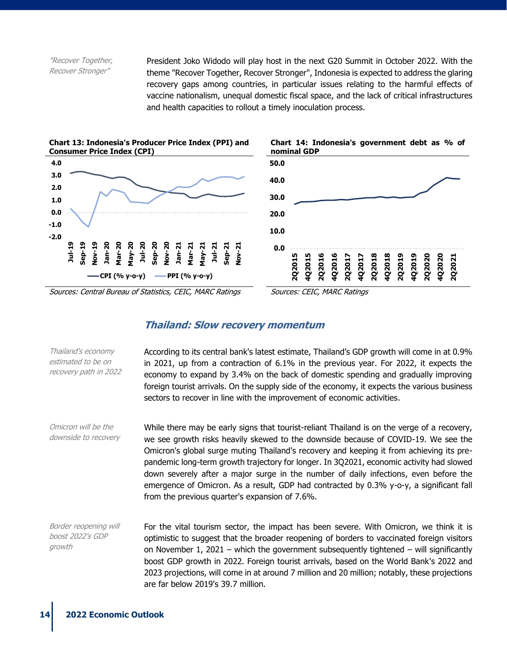"Recover Together, Recover Stronger"

President Joko Widodo will play host in the next G20 Summit in October 2022. With the theme "Recover Together, Recover Stronger", Indonesia is expected to address the glaring recovery gaps among countries, in particular issues relating to the harmful effects of vaccine nationalism, unequal domestic fiscal space, and the lack of critical infrastructures and health capacities to rollout a timely inoculation process.







Sources: Central Bureau of Statistics, CEIC, MARC Ratings Sources: CEIC, MARC Ratings

#### **Thailand: Slow recovery momentum**

| Thailand's economy<br>estimated to be on<br>recovery path in 2022 | According to its central bank's latest estimate, Thailand's GDP growth will come in at 0.9%<br>in 2021, up from a contraction of 6.1% in the previous year. For 2022, it expects the<br>economy to expand by 3.4% on the back of domestic spending and gradually improving<br>foreign tourist arrivals. On the supply side of the economy, it expects the various business<br>sectors to recover in line with the improvement of economic activities.                                                                                                                                                          |
|-------------------------------------------------------------------|----------------------------------------------------------------------------------------------------------------------------------------------------------------------------------------------------------------------------------------------------------------------------------------------------------------------------------------------------------------------------------------------------------------------------------------------------------------------------------------------------------------------------------------------------------------------------------------------------------------|
| Omicron will be the<br>downside to recovery                       | While there may be early signs that tourist-reliant Thailand is on the verge of a recovery,<br>we see growth risks heavily skewed to the downside because of COVID-19. We see the<br>Omicron's global surge muting Thailand's recovery and keeping it from achieving its pre-<br>pandemic long-term growth trajectory for longer. In 3Q2021, economic activity had slowed<br>down severely after a major surge in the number of daily infections, even before the<br>emergence of Omicron. As a result, GDP had contracted by 0.3% y-o-y, a significant fall<br>from the previous quarter's expansion of 7.6%. |
| Border reopening will<br>boost 2022's GDP<br>growth               | For the vital tourism sector, the impact has been severe. With Omicron, we think it is<br>optimistic to suggest that the broader reopening of borders to vaccinated foreign visitors<br>on November 1, 2021 – which the government subsequently tightened – will significantly<br>boost GDP growth in 2022. Foreign tourist arrivals, based on the World Bank's 2022 and<br>2023 projections, will come in at around 7 million and 20 million; notably, these projections<br>are far below 2019's 39.7 million.                                                                                                |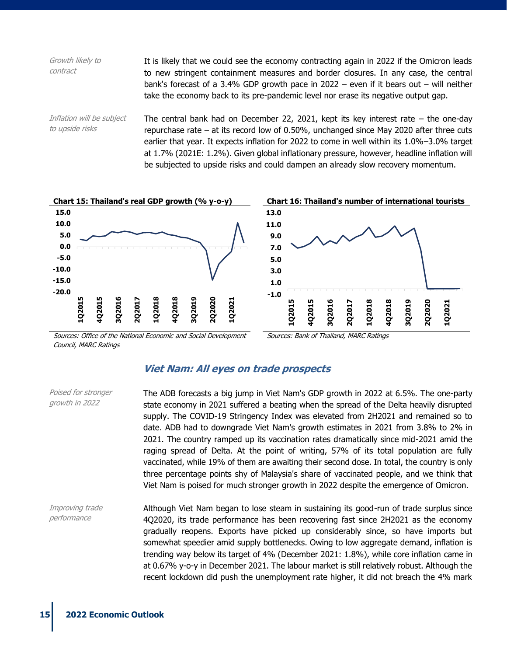| Growth likely to<br>contract                 | It is likely that we could see the economy contracting again in 2022 if the Omicron leads<br>to new stringent containment measures and border closures. In any case, the central<br>bank's forecast of a 3.4% GDP growth pace in $2022 -$ even if it bears out – will neither<br>take the economy back to its pre-pandemic level nor erase its negative output gap.                                                                                                   |
|----------------------------------------------|-----------------------------------------------------------------------------------------------------------------------------------------------------------------------------------------------------------------------------------------------------------------------------------------------------------------------------------------------------------------------------------------------------------------------------------------------------------------------|
| Inflation will be subject<br>to upside risks | The central bank had on December 22, 2021, kept its key interest rate $-$ the one-day<br>repurchase rate $-$ at its record low of 0.50%, unchanged since May 2020 after three cuts<br>earlier that year. It expects inflation for 2022 to come in well within its 1.0%-3.0% target<br>at 1.7% (2021E: 1.2%). Given global inflationary pressure, however, headline inflation will<br>be subjected to upside risks and could dampen an already slow recovery momentum. |



Sources: Office of the National Economic and Social Development Council, MARC Ratings

Sources: Bank of Thailand, MARC Ratings

### **Viet Nam: All eyes on trade prospects**

| Poised for stronger<br>growth in 2022 | The ADB forecasts a big jump in Viet Nam's GDP growth in 2022 at 6.5%. The one-party<br>state economy in 2021 suffered a beating when the spread of the Delta heavily disrupted<br>supply. The COVID-19 Stringency Index was elevated from 2H2021 and remained so to<br>date. ADB had to downgrade Viet Nam's growth estimates in 2021 from 3.8% to 2% in<br>2021. The country ramped up its vaccination rates dramatically since mid-2021 amid the<br>raging spread of Delta. At the point of writing, 57% of its total population are fully<br>vaccinated, while 19% of them are awaiting their second dose. In total, the country is only<br>three percentage points shy of Malaysia's share of vaccinated people, and we think that<br>Viet Nam is poised for much stronger growth in 2022 despite the emergence of Omicron. |
|---------------------------------------|----------------------------------------------------------------------------------------------------------------------------------------------------------------------------------------------------------------------------------------------------------------------------------------------------------------------------------------------------------------------------------------------------------------------------------------------------------------------------------------------------------------------------------------------------------------------------------------------------------------------------------------------------------------------------------------------------------------------------------------------------------------------------------------------------------------------------------|
| Improving trade<br>performance        | Although Viet Nam began to lose steam in sustaining its good-run of trade surplus since<br>4Q2020, its trade performance has been recovering fast since 2H2021 as the economy<br>gradually reopens. Exports have picked up considerably since, so have imports but<br>somewhat speedier amid supply bottlenecks. Owing to low aggregate demand, inflation is<br>trending way below its target of 4% (December 2021: 1.8%), while core inflation came in<br>at 0.67% y-o-y in December 2021. The labour market is still relatively robust. Although the<br>recent lockdown did push the unemployment rate higher, it did not breach the 4% mark                                                                                                                                                                                   |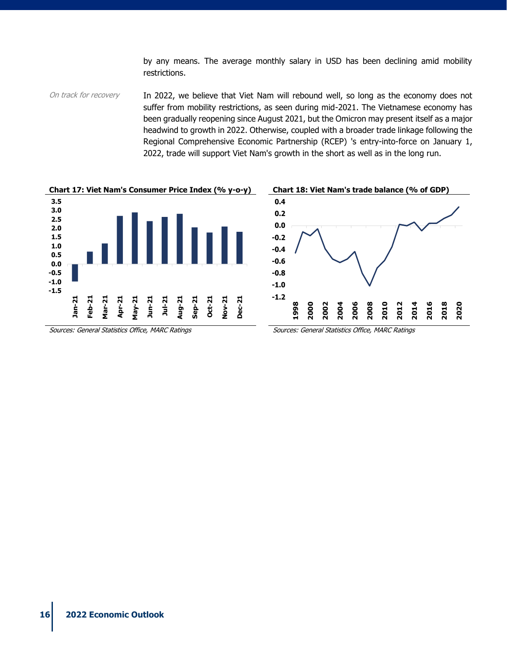by any means. The average monthly salary in USD has been declining amid mobility restrictions.

On track for recovery In 2022, we believe that Viet Nam will rebound well, so long as the economy does not suffer from mobility restrictions, as seen during mid-2021. The Vietnamese economy has been gradually reopening since August 2021, but the Omicron may present itself as a major headwind to growth in 2022. Otherwise, coupled with a broader trade linkage following the Regional Comprehensive Economic Partnership (RCEP) 's entry-into-force on January 1, 2022, trade will support Viet Nam's growth in the short as well as in the long run.





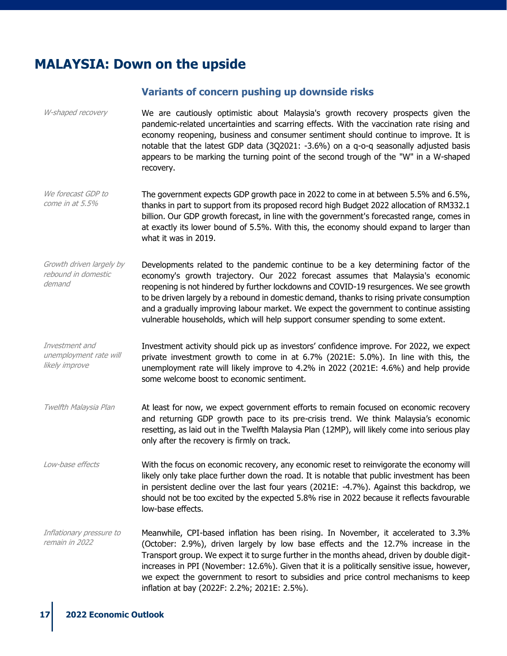## **MALAYSIA: Down on the upside**

#### **Variants of concern pushing up downside risks**

W-shaped recovery We are cautiously optimistic about Malaysia's growth recovery prospects given the pandemic-related uncertainties and scarring effects. With the vaccination rate rising and economy reopening, business and consumer sentiment should continue to improve. It is notable that the latest GDP data (3Q2021: -3.6%) on a q-o-q seasonally adjusted basis appears to be marking the turning point of the second trough of the "W" in a W-shaped recovery.

- We forecast GDP to come in at 5.5% The government expects GDP growth pace in 2022 to come in at between 5.5% and 6.5%, thanks in part to support from its proposed record high Budget 2022 allocation of RM332.1 billion. Our GDP growth forecast, in line with the government's forecasted range, comes in at exactly its lower bound of 5.5%. With this, the economy should expand to larger than what it was in 2019.
- Growth driven largely by rebound in domestic demand Developments related to the pandemic continue to be a key determining factor of the economy's growth trajectory. Our 2022 forecast assumes that Malaysia's economic reopening is not hindered by further lockdowns and COVID-19 resurgences. We see growth to be driven largely by a rebound in domestic demand, thanks to rising private consumption and a gradually improving labour market. We expect the government to continue assisting vulnerable households, which will help support consumer spending to some extent.
- Investment and unemployment rate will likely improve Investment activity should pick up as investors' confidence improve. For 2022, we expect private investment growth to come in at 6.7% (2021E: 5.0%). In line with this, the unemployment rate will likely improve to 4.2% in 2022 (2021E: 4.6%) and help provide some welcome boost to economic sentiment.
- Twelfth Malaysia Plan At least for now, we expect government efforts to remain focused on economic recovery and returning GDP growth pace to its pre-crisis trend. We think Malaysia's economic resetting, as laid out in the Twelfth Malaysia Plan (12MP), will likely come into serious play only after the recovery is firmly on track.
- Low-base effects With the focus on economic recovery, any economic reset to reinvigorate the economy will likely only take place further down the road. It is notable that public investment has been in persistent decline over the last four years (2021E: -4.7%). Against this backdrop, we should not be too excited by the expected 5.8% rise in 2022 because it reflects favourable low-base effects.

Inflationary pressure to remain in 2022 Meanwhile, CPI-based inflation has been rising. In November, it accelerated to 3.3% (October: 2.9%), driven largely by low base effects and the 12.7% increase in the Transport group. We expect it to surge further in the months ahead, driven by double digitincreases in PPI (November: 12.6%). Given that it is a politically sensitive issue, however, we expect the government to resort to subsidies and price control mechanisms to keep inflation at bay (2022F: 2.2%; 2021E: 2.5%).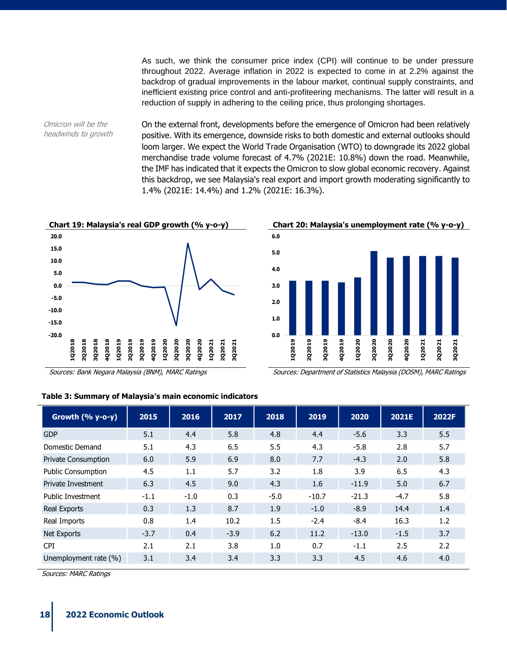As such, we think the consumer price index (CPI) will continue to be under pressure throughout 2022. Average inflation in 2022 is expected to come in at 2.2% against the backdrop of gradual improvements in the labour market, continual supply constraints, and inefficient existing price control and anti-profiteering mechanisms. The latter will result in a reduction of supply in adhering to the ceiling price, thus prolonging shortages.

Omicron will be the headwinds to growth On the external front, developments before the emergence of Omicron had been relatively positive. With its emergence, downside risks to both domestic and external outlooks should loom larger. We expect the World Trade Organisation (WTO) to downgrade its 2022 global merchandise trade volume forecast of 4.7% (2021E: 10.8%) down the road. Meanwhile, the IMF has indicated that it expects the Omicron to slow global economic recovery. Against this backdrop, we see Malaysia's real export and import growth moderating significantly to 1.4% (2021E: 14.4%) and 1.2% (2021E: 16.3%).







Sources: Bank Negara Malaysia (BNM), MARC Ratings Sources: Department of Statistics Malaysia (DOSM), MARC Ratings

| Table 3: Summary of Malaysia's main economic indicators |  |
|---------------------------------------------------------|--|
|---------------------------------------------------------|--|

| Growth $(% y-o-y)$         | 2015   | 2016   | 2017   | 2018   | 2019    | 2020    | 2021E  | 2022F |
|----------------------------|--------|--------|--------|--------|---------|---------|--------|-------|
| <b>GDP</b>                 | 5.1    | 4.4    | 5.8    | 4.8    | 4.4     | $-5.6$  | 3.3    | 5.5   |
| Domestic Demand            | 5.1    | 4.3    | 6.5    | 5.5    | 4.3     | $-5.8$  | 2.8    | 5.7   |
| <b>Private Consumption</b> | 6.0    | 5.9    | 6.9    | 8.0    | 7.7     | $-4.3$  | 2.0    | 5.8   |
| <b>Public Consumption</b>  | 4.5    | 1.1    | 5.7    | 3.2    | 1.8     | 3.9     | 6.5    | 4.3   |
| <b>Private Investment</b>  | 6.3    | 4.5    | 9.0    | 4.3    | 1.6     | $-11.9$ | 5.0    | 6.7   |
| Public Investment          | $-1.1$ | $-1.0$ | 0.3    | $-5.0$ | $-10.7$ | $-21.3$ | $-4.7$ | 5.8   |
| Real Exports               | 0.3    | 1.3    | 8.7    | 1.9    | $-1.0$  | $-8.9$  | 14.4   | 1.4   |
| Real Imports               | 0.8    | 1.4    | 10.2   | 1.5    | $-2.4$  | $-8.4$  | 16.3   | 1.2   |
| Net Exports                | $-3.7$ | 0.4    | $-3.9$ | 6.2    | 11.2    | $-13.0$ | $-1.5$ | 3.7   |
| <b>CPI</b>                 | 2.1    | 2.1    | 3.8    | 1.0    | 0.7     | $-1.1$  | 2.5    | 2.2   |
| Unemployment rate (%)      | 3.1    | 3.4    | 3.4    | 3.3    | 3.3     | 4.5     | 4.6    | 4.0   |

Sources: MARC Ratings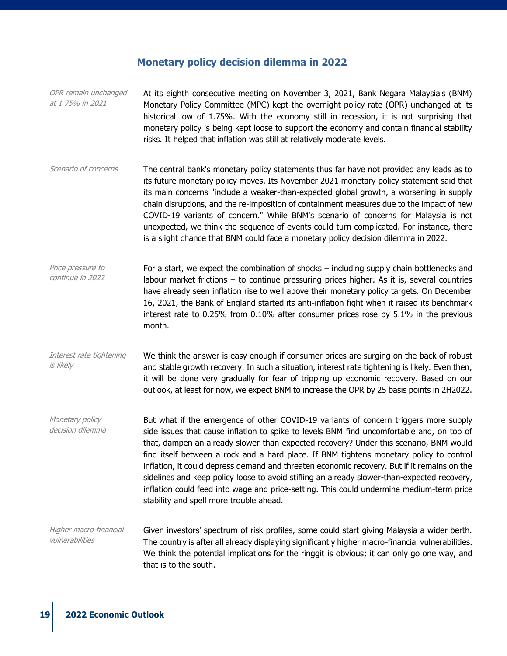#### **Monetary policy decision dilemma in 2022**

OPR remain unchanged at 1.75% in 2021 At its eighth consecutive meeting on November 3, 2021, Bank Negara Malaysia's (BNM) Monetary Policy Committee (MPC) kept the overnight policy rate (OPR) unchanged at its historical low of 1.75%. With the economy still in recession, it is not surprising that monetary policy is being kept loose to support the economy and contain financial stability risks. It helped that inflation was still at relatively moderate levels. Scenario of concerns The central bank's monetary policy statements thus far have not provided any leads as to its future monetary policy moves. Its November 2021 monetary policy statement said that its main concerns "include a weaker-than-expected global growth, a worsening in supply chain disruptions, and the re-imposition of containment measures due to the impact of new COVID-19 variants of concern." While BNM's scenario of concerns for Malaysia is not unexpected, we think the sequence of events could turn complicated. For instance, there is a slight chance that BNM could face a monetary policy decision dilemma in 2022. Price pressure to continue in 2022 For a start, we expect the combination of shocks – including supply chain bottlenecks and labour market frictions – to continue pressuring prices higher. As it is, several countries have already seen inflation rise to well above their monetary policy targets. On December 16, 2021, the Bank of England started its anti-inflation fight when it raised its benchmark interest rate to 0.25% from 0.10% after consumer prices rose by 5.1% in the previous month. Interest rate tightening is likely We think the answer is easy enough if consumer prices are surging on the back of robust and stable growth recovery. In such a situation, interest rate tightening is likely. Even then, it will be done very gradually for fear of tripping up economic recovery. Based on our outlook, at least for now, we expect BNM to increase the OPR by 25 basis points in 2H2022. Monetary policy decision dilemma But what if the emergence of other COVID-19 variants of concern triggers more supply side issues that cause inflation to spike to levels BNM find uncomfortable and, on top of that, dampen an already slower-than-expected recovery? Under this scenario, BNM would find itself between a rock and a hard place. If BNM tightens monetary policy to control inflation, it could depress demand and threaten economic recovery. But if it remains on the sidelines and keep policy loose to avoid stifling an already slower-than-expected recovery, inflation could feed into wage and price-setting. This could undermine medium-term price stability and spell more trouble ahead. Higher macro-financial vulnerabilities Given investors' spectrum of risk profiles, some could start giving Malaysia a wider berth. The country is after all already displaying significantly higher macro-financial vulnerabilities. We think the potential implications for the ringgit is obvious; it can only go one way, and that is to the south.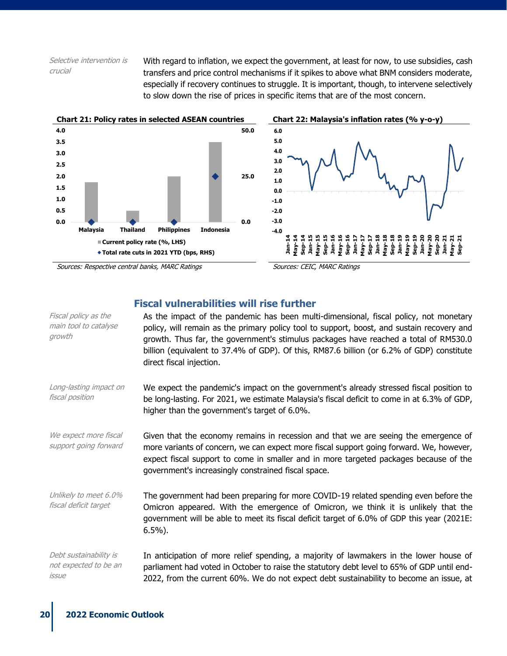Selective intervention is crucial

With regard to inflation, we expect the government, at least for now, to use subsidies, cash transfers and price control mechanisms if it spikes to above what BNM considers moderate, especially if recovery continues to struggle. It is important, though, to intervene selectively to slow down the rise of prices in specific items that are of the most concern.



### **Fiscal vulnerabilities will rise further**

| Fiscal policy as the<br>main tool to catalyse<br>growth  | As the impact of the pandemic has been multi-dimensional, fiscal policy, not monetary<br>policy, will remain as the primary policy tool to support, boost, and sustain recovery and<br>growth. Thus far, the government's stimulus packages have reached a total of RM530.0<br>billion (equivalent to 37.4% of GDP). Of this, RM87.6 billion (or 6.2% of GDP) constitute<br>direct fiscal injection. |
|----------------------------------------------------------|------------------------------------------------------------------------------------------------------------------------------------------------------------------------------------------------------------------------------------------------------------------------------------------------------------------------------------------------------------------------------------------------------|
| Long-lasting impact on<br>fiscal position                | We expect the pandemic's impact on the government's already stressed fiscal position to<br>be long-lasting. For 2021, we estimate Malaysia's fiscal deficit to come in at 6.3% of GDP,<br>higher than the government's target of 6.0%.                                                                                                                                                               |
| We expect more fiscal<br>support going forward           | Given that the economy remains in recession and that we are seeing the emergence of<br>more variants of concern, we can expect more fiscal support going forward. We, however,<br>expect fiscal support to come in smaller and in more targeted packages because of the<br>government's increasingly constrained fiscal space.                                                                       |
| Unlikely to meet 6.0%<br>fiscal deficit target           | The government had been preparing for more COVID-19 related spending even before the<br>Omicron appeared. With the emergence of Omicron, we think it is unlikely that the<br>government will be able to meet its fiscal deficit target of 6.0% of GDP this year (2021E:<br>$6.5\%$ ).                                                                                                                |
| Debt sustainability is<br>not expected to be an<br>issue | In anticipation of more relief spending, a majority of lawmakers in the lower house of<br>parliament had voted in October to raise the statutory debt level to 65% of GDP until end-<br>2022, from the current 60%. We do not expect debt sustainability to become an issue, at                                                                                                                      |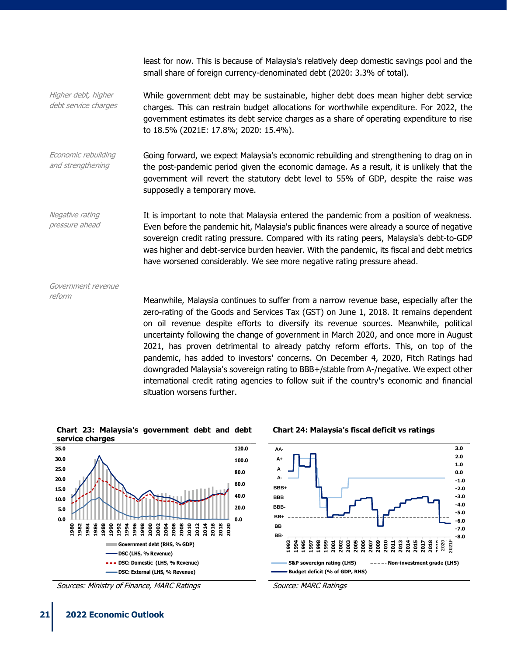least for now. This is because of Malaysia's relatively deep domestic savings pool and the small share of foreign currency-denominated debt (2020: 3.3% of total).

Higher debt, higher debt service charges While government debt may be sustainable, higher debt does mean higher debt service charges. This can restrain budget allocations for worthwhile expenditure. For 2022, the government estimates its debt service charges as a share of operating expenditure to rise to 18.5% (2021E: 17.8%; 2020: 15.4%).

Economic rebuilding and strengthening Going forward, we expect Malaysia's economic rebuilding and strengthening to drag on in the post-pandemic period given the economic damage. As a result, it is unlikely that the government will revert the statutory debt level to 55% of GDP, despite the raise was supposedly a temporary move.

Negative rating pressure ahead It is important to note that Malaysia entered the pandemic from a position of weakness. Even before the pandemic hit, Malaysia's public finances were already a source of negative sovereign credit rating pressure. Compared with its rating peers, Malaysia's debt-to-GDP was higher and debt-service burden heavier. With the pandemic, its fiscal and debt metrics have worsened considerably. We see more negative rating pressure ahead.

Government revenue

 $r$ eform Meanwhile, Malaysia continues to suffer from a narrow revenue base, especially after the zero-rating of the Goods and Services Tax (GST) on June 1, 2018. It remains dependent on oil revenue despite efforts to diversify its revenue sources. Meanwhile, political uncertainty following the change of government in March 2020, and once more in August 2021, has proven detrimental to already patchy reform efforts. This, on top of the pandemic, has added to investors' concerns. On December 4, 2020, Fitch Ratings had downgraded Malaysia's sovereign rating to BBB+/stable from A-/negative. We expect other international credit rating agencies to follow suit if the country's economic and financial situation worsens further.



Sources: Ministry of Finance, MARC Ratings North Cource: MARC Ratings Source: MARC Ratings